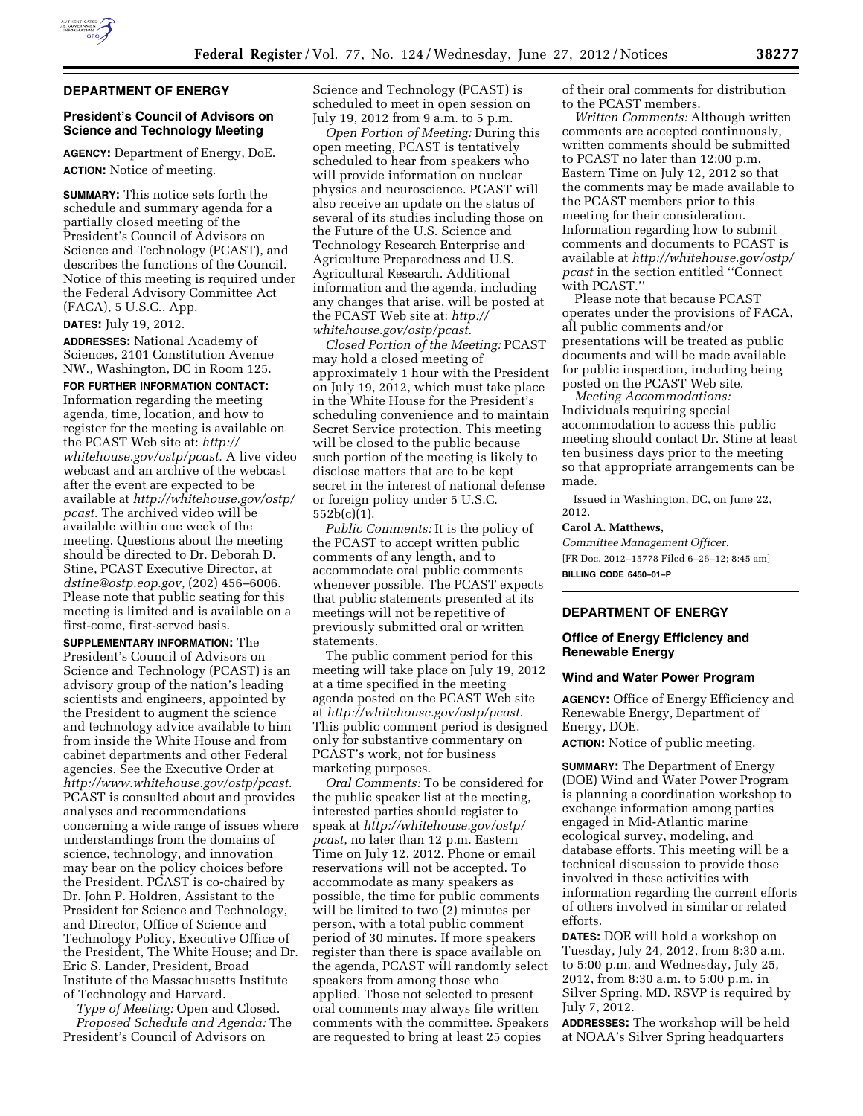

### **DEPARTMENT OF ENERGY**

# **President's Council of Advisors on Science and Technology Meeting**

**AGENCY:** Department of Energy, DoE. **ACTION:** Notice of meeting.

**SUMMARY:** This notice sets forth the schedule and summary agenda for a partially closed meeting of the President's Council of Advisors on Science and Technology (PCAST), and describes the functions of the Council. Notice of this meeting is required under the Federal Advisory Committee Act (FACA), 5 U.S.C., App.

## **DATES:** July 19, 2012.

**ADDRESSES:** National Academy of Sciences, 2101 Constitution Avenue NW., Washington, DC in Room 125.

**FOR FURTHER INFORMATION CONTACT:**  Information regarding the meeting agenda, time, location, and how to register for the meeting is available on the PCAST Web site at: *[http://](http://whitehouse.gov/ostp/pcast)  [whitehouse.gov/ostp/pcast.](http://whitehouse.gov/ostp/pcast)* A live video webcast and an archive of the webcast after the event are expected to be available at *[http://whitehouse.gov/ostp/](http://whitehouse.gov/ostp/pcast) [pcast.](http://whitehouse.gov/ostp/pcast)* The archived video will be available within one week of the meeting. Questions about the meeting should be directed to Dr. Deborah D. Stine, PCAST Executive Director, at *[dstine@ostp.eop.gov](mailto:dstine@ostp.eop.gov)*, (202) 456–6006. Please note that public seating for this meeting is limited and is available on a first-come, first-served basis.

**SUPPLEMENTARY INFORMATION:** The President's Council of Advisors on Science and Technology (PCAST) is an advisory group of the nation's leading scientists and engineers, appointed by the President to augment the science and technology advice available to him from inside the White House and from cabinet departments and other Federal agencies. See the Executive Order at *[http://www.whitehouse.gov/ostp/pcast.](http://www.whitehouse.gov/ostp/pcast)*  PCAST is consulted about and provides analyses and recommendations concerning a wide range of issues where understandings from the domains of science, technology, and innovation may bear on the policy choices before the President. PCAST is co-chaired by Dr. John P. Holdren, Assistant to the President for Science and Technology, and Director, Office of Science and Technology Policy, Executive Office of the President, The White House; and Dr. Eric S. Lander, President, Broad Institute of the Massachusetts Institute of Technology and Harvard.

*Type of Meeting:* Open and Closed. *Proposed Schedule and Agenda:* The President's Council of Advisors on

Science and Technology (PCAST) is scheduled to meet in open session on July 19, 2012 from 9 a.m. to 5 p.m.

*Open Portion of Meeting:* During this open meeting, PCAST is tentatively scheduled to hear from speakers who will provide information on nuclear physics and neuroscience. PCAST will also receive an update on the status of several of its studies including those on the Future of the U.S. Science and Technology Research Enterprise and Agriculture Preparedness and U.S. Agricultural Research. Additional information and the agenda, including any changes that arise, will be posted at the PCAST Web site at: *[http://](http://whitehouse.gov/ostp/pcast)  [whitehouse.gov/ostp/pcast.](http://whitehouse.gov/ostp/pcast)* 

*Closed Portion of the Meeting:* PCAST may hold a closed meeting of approximately 1 hour with the President on July 19, 2012, which must take place in the White House for the President's scheduling convenience and to maintain Secret Service protection. This meeting will be closed to the public because such portion of the meeting is likely to disclose matters that are to be kept secret in the interest of national defense or foreign policy under 5 U.S.C. 552b(c)(1).

*Public Comments:* It is the policy of the PCAST to accept written public comments of any length, and to accommodate oral public comments whenever possible. The PCAST expects that public statements presented at its meetings will not be repetitive of previously submitted oral or written statements.

The public comment period for this meeting will take place on July 19, 2012 at a time specified in the meeting agenda posted on the PCAST Web site at *[http://whitehouse.gov/ostp/pcast.](http://whitehouse.gov/ostp/pcast)*  This public comment period is designed only for substantive commentary on PCAST's work, not for business marketing purposes.

*Oral Comments:* To be considered for the public speaker list at the meeting, interested parties should register to speak at *[http://whitehouse.gov/ostp/](http://whitehouse.gov/ostp/pcast)  [pcast](http://whitehouse.gov/ostp/pcast)*, no later than 12 p.m. Eastern Time on July 12, 2012. Phone or email reservations will not be accepted. To accommodate as many speakers as possible, the time for public comments will be limited to two (2) minutes per person, with a total public comment period of 30 minutes. If more speakers register than there is space available on the agenda, PCAST will randomly select speakers from among those who applied. Those not selected to present oral comments may always file written comments with the committee. Speakers are requested to bring at least 25 copies

of their oral comments for distribution to the PCAST members.

*Written Comments:* Although written comments are accepted continuously, written comments should be submitted to PCAST no later than 12:00 p.m. Eastern Time on July 12, 2012 so that the comments may be made available to the PCAST members prior to this meeting for their consideration. Information regarding how to submit comments and documents to PCAST is available at *[http://whitehouse.gov/ostp/](http://whitehouse.gov/ostp/pcast) [pcast](http://whitehouse.gov/ostp/pcast)* in the section entitled ''Connect with PCAST.''

Please note that because PCAST operates under the provisions of FACA, all public comments and/or presentations will be treated as public documents and will be made available for public inspection, including being posted on the PCAST Web site.

*Meeting Accommodations:*  Individuals requiring special accommodation to access this public meeting should contact Dr. Stine at least ten business days prior to the meeting so that appropriate arrangements can be made.

Issued in Washington, DC, on June 22, 2012.

#### **Carol A. Matthews,**

*Committee Management Officer.*  [FR Doc. 2012–15778 Filed 6–26–12; 8:45 am] **BILLING CODE 6450–01–P** 

# **DEPARTMENT OF ENERGY**

### **Office of Energy Efficiency and Renewable Energy**

#### **Wind and Water Power Program**

**AGENCY:** Office of Energy Efficiency and Renewable Energy, Department of Energy, DOE.

**ACTION:** Notice of public meeting.

**SUMMARY:** The Department of Energy (DOE) Wind and Water Power Program is planning a coordination workshop to exchange information among parties engaged in Mid-Atlantic marine ecological survey, modeling, and database efforts. This meeting will be a technical discussion to provide those involved in these activities with information regarding the current efforts of others involved in similar or related efforts.

**DATES:** DOE will hold a workshop on Tuesday, July 24, 2012, from 8:30 a.m. to 5:00 p.m. and Wednesday, July 25, 2012, from 8:30 a.m. to 5:00 p.m. in Silver Spring, MD. RSVP is required by July 7, 2012.

**ADDRESSES:** The workshop will be held at NOAA's Silver Spring headquarters